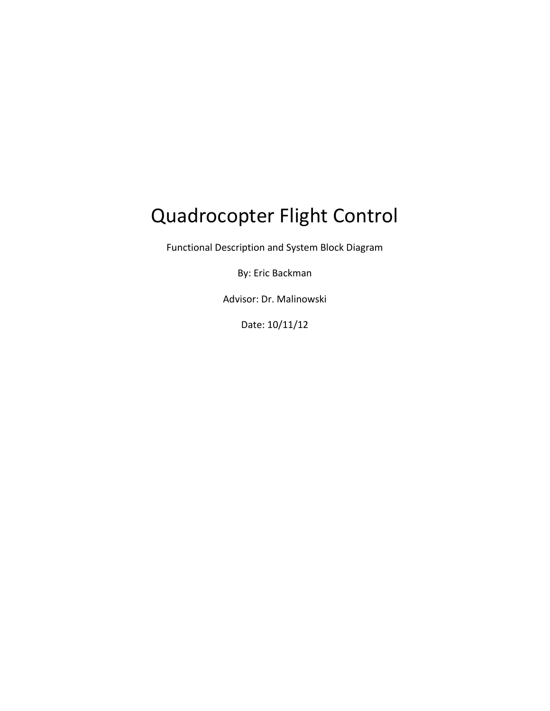# Quadrocopter Flight Control

Functional Description and System Block Diagram

By: Eric Backman

Advisor: Dr. Malinowski

Date: 10/11/12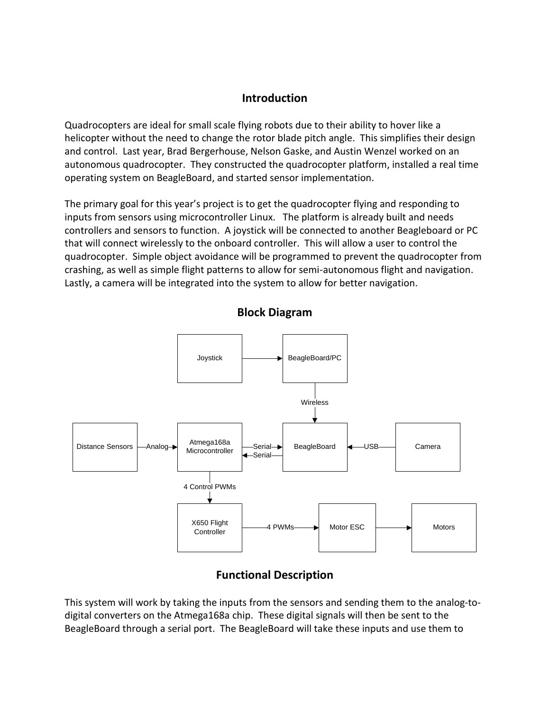# **Introduction**

Quadrocopters are ideal for small scale flying robots due to their ability to hover like a helicopter without the need to change the rotor blade pitch angle. This simplifies their design and control. Last year, Brad Bergerhouse, Nelson Gaske, and Austin Wenzel worked on an autonomous quadrocopter. They constructed the quadrocopter platform, installed a real time operating system on BeagleBoard, and started sensor implementation.

The primary goal for this year's project is to get the quadrocopter flying and responding to inputs from sensors using microcontroller Linux. The platform is already built and needs controllers and sensors to function. A joystick will be connected to another Beagleboard or PC that will connect wirelessly to the onboard controller. This will allow a user to control the quadrocopter. Simple object avoidance will be programmed to prevent the quadrocopter from crashing, as well as simple flight patterns to allow for semi-autonomous flight and navigation. Lastly, a camera will be integrated into the system to allow for better navigation.



**Block Diagram**

# **Functional Description**

This system will work by taking the inputs from the sensors and sending them to the analog-todigital converters on the Atmega168a chip. These digital signals will then be sent to the BeagleBoard through a serial port. The BeagleBoard will take these inputs and use them to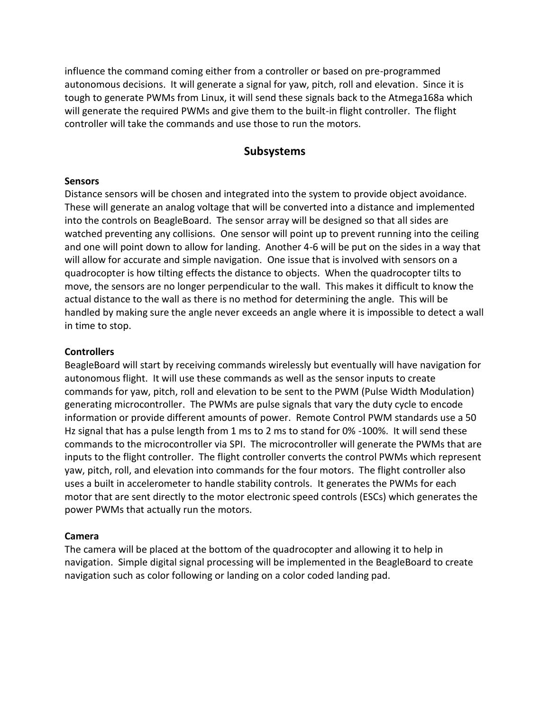influence the command coming either from a controller or based on pre-programmed autonomous decisions. It will generate a signal for yaw, pitch, roll and elevation. Since it is tough to generate PWMs from Linux, it will send these signals back to the Atmega168a which will generate the required PWMs and give them to the built-in flight controller. The flight controller will take the commands and use those to run the motors.

## **Subsystems**

#### **Sensors**

Distance sensors will be chosen and integrated into the system to provide object avoidance. These will generate an analog voltage that will be converted into a distance and implemented into the controls on BeagleBoard. The sensor array will be designed so that all sides are watched preventing any collisions. One sensor will point up to prevent running into the ceiling and one will point down to allow for landing. Another 4-6 will be put on the sides in a way that will allow for accurate and simple navigation. One issue that is involved with sensors on a quadrocopter is how tilting effects the distance to objects. When the quadrocopter tilts to move, the sensors are no longer perpendicular to the wall. This makes it difficult to know the actual distance to the wall as there is no method for determining the angle. This will be handled by making sure the angle never exceeds an angle where it is impossible to detect a wall in time to stop.

#### **Controllers**

BeagleBoard will start by receiving commands wirelessly but eventually will have navigation for autonomous flight. It will use these commands as well as the sensor inputs to create commands for yaw, pitch, roll and elevation to be sent to the PWM (Pulse Width Modulation) generating microcontroller. The PWMs are pulse signals that vary the duty cycle to encode information or provide different amounts of power. Remote Control PWM standards use a 50 Hz signal that has a pulse length from 1 ms to 2 ms to stand for 0% -100%. It will send these commands to the microcontroller via SPI. The microcontroller will generate the PWMs that are inputs to the flight controller. The flight controller converts the control PWMs which represent yaw, pitch, roll, and elevation into commands for the four motors. The flight controller also uses a built in accelerometer to handle stability controls. It generates the PWMs for each motor that are sent directly to the motor electronic speed controls (ESCs) which generates the power PWMs that actually run the motors.

#### **Camera**

The camera will be placed at the bottom of the quadrocopter and allowing it to help in navigation. Simple digital signal processing will be implemented in the BeagleBoard to create navigation such as color following or landing on a color coded landing pad.